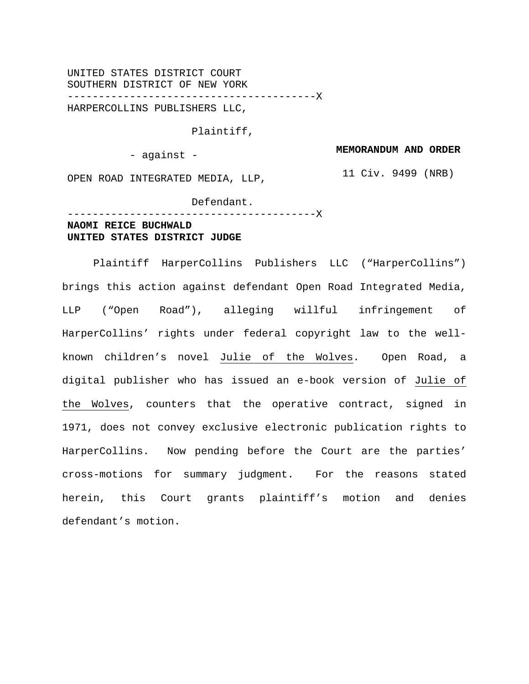UNITED STATES DISTRICT COURT SOUTHERN DISTRICT OF NEW YORK ----------------------------------------X HARPERCOLLINS PUBLISHERS LLC,

Plaintiff,

- against -

**MEMORANDUM AND ORDER**

11 Civ. 9499 (NRB)

OPEN ROAD INTEGRATED MEDIA, LLP,

 Defendant. ----------------------------------------X

# **NAOMI REICE BUCHWALD UNITED STATES DISTRICT JUDGE**

Plaintiff HarperCollins Publishers LLC ("HarperCollins") brings this action against defendant Open Road Integrated Media, LLP ("Open Road"), alleging willful infringement of HarperCollins' rights under federal copyright law to the wellknown children's novel Julie of the Wolves. Open Road, a digital publisher who has issued an e-book version of Julie of the Wolves, counters that the operative contract, signed in 1971, does not convey exclusive electronic publication rights to HarperCollins. Now pending before the Court are the parties' cross-motions for summary judgment. For the reasons stated herein, this Court grants plaintiff's motion and denies defendant's motion.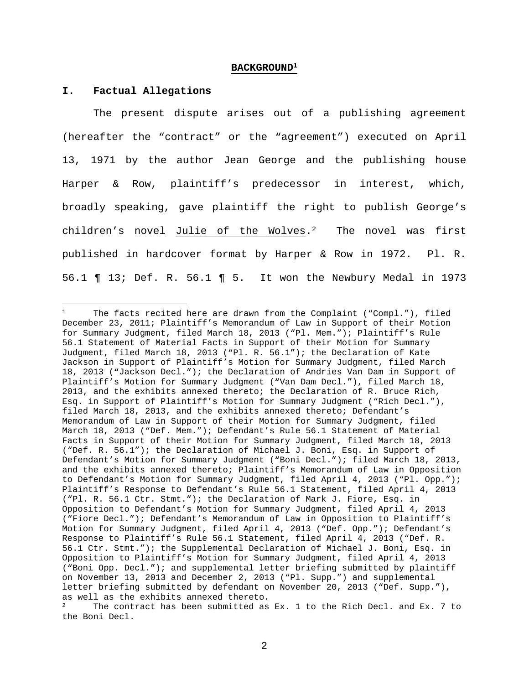#### **BACKGROUND1**

#### **I. Factual Allegations**

 $\overline{a}$ 

The present dispute arises out of a publishing agreement (hereafter the "contract" or the "agreement") executed on April 13, 1971 by the author Jean George and the publishing house Harper & Row, plaintiff's predecessor in interest, which, broadly speaking, gave plaintiff the right to publish George's children's novel Julie of the Wolves.2 The novel was first published in hardcover format by Harper & Row in 1972. Pl. R. 56.1 ¶ 13; Def. R. 56.1 ¶ 5. It won the Newbury Medal in 1973

The facts recited here are drawn from the Complaint ("Compl."), filed December 23, 2011; Plaintiff's Memorandum of Law in Support of their Motion for Summary Judgment, filed March 18, 2013 ("Pl. Mem."); Plaintiff's Rule 56.1 Statement of Material Facts in Support of their Motion for Summary Judgment, filed March 18, 2013 ("Pl. R. 56.1"); the Declaration of Kate Jackson in Support of Plaintiff's Motion for Summary Judgment, filed March 18, 2013 ("Jackson Decl."); the Declaration of Andries Van Dam in Support of Plaintiff's Motion for Summary Judgment ("Van Dam Decl."), filed March 18, 2013, and the exhibits annexed thereto; the Declaration of R. Bruce Rich, Esq. in Support of Plaintiff's Motion for Summary Judgment ("Rich Decl."), filed March 18, 2013, and the exhibits annexed thereto; Defendant's Memorandum of Law in Support of their Motion for Summary Judgment, filed March 18, 2013 ("Def. Mem."); Defendant's Rule 56.1 Statement of Material Facts in Support of their Motion for Summary Judgment, filed March 18, 2013 ("Def. R. 56.1"); the Declaration of Michael J. Boni, Esq. in Support of Defendant's Motion for Summary Judgment ("Boni Decl."); filed March 18, 2013, and the exhibits annexed thereto; Plaintiff's Memorandum of Law in Opposition to Defendant's Motion for Summary Judgment, filed April 4, 2013 ("Pl. Opp."); Plaintiff's Response to Defendant's Rule 56.1 Statement, filed April 4, 2013 ("Pl. R. 56.1 Ctr. Stmt."); the Declaration of Mark J. Fiore, Esq. in Opposition to Defendant's Motion for Summary Judgment, filed April 4, 2013 ("Fiore Decl."); Defendant's Memorandum of Law in Opposition to Plaintiff's Motion for Summary Judgment, filed April 4, 2013 ("Def. Opp."); Defendant's Response to Plaintiff's Rule 56.1 Statement, filed April 4, 2013 ("Def. R. 56.1 Ctr. Stmt."); the Supplemental Declaration of Michael J. Boni, Esq. in Opposition to Plaintiff's Motion for Summary Judgment, filed April 4, 2013 ("Boni Opp. Decl."); and supplemental letter briefing submitted by plaintiff on November 13, 2013 and December 2, 2013 ("Pl. Supp.") and supplemental letter briefing submitted by defendant on November 20, 2013 ("Def. Supp."), as well as the exhibits annexed thereto.

The contract has been submitted as Ex. 1 to the Rich Decl. and Ex. 7 to the Boni Decl.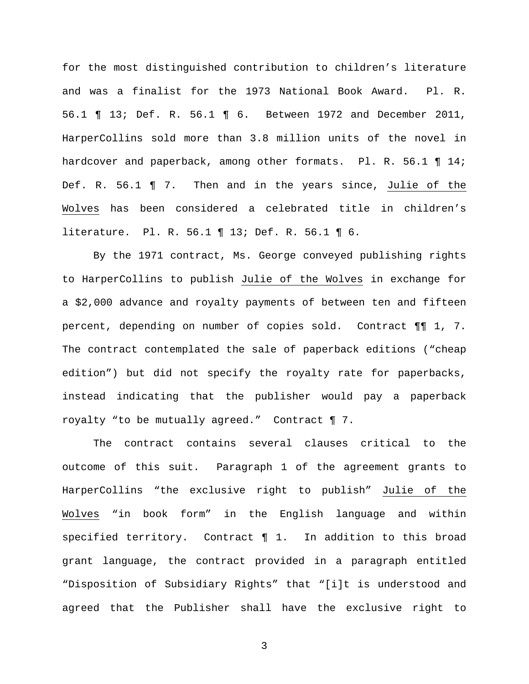for the most distinguished contribution to children's literature and was a finalist for the 1973 National Book Award. Pl. R. 56.1 ¶ 13; Def. R. 56.1 ¶ 6. Between 1972 and December 2011, HarperCollins sold more than 3.8 million units of the novel in hardcover and paperback, among other formats. Pl. R. 56.1 ¶ 14; Def. R. 56.1 ¶ 7. Then and in the years since, Julie of the Wolves has been considered a celebrated title in children's literature. Pl. R. 56.1 ¶ 13; Def. R. 56.1 ¶ 6.

By the 1971 contract, Ms. George conveyed publishing rights to HarperCollins to publish Julie of the Wolves in exchange for a \$2,000 advance and royalty payments of between ten and fifteen percent, depending on number of copies sold. Contract ¶¶ 1, 7. The contract contemplated the sale of paperback editions ("cheap edition") but did not specify the royalty rate for paperbacks, instead indicating that the publisher would pay a paperback royalty "to be mutually agreed." Contract ¶ 7.

The contract contains several clauses critical to the outcome of this suit. Paragraph 1 of the agreement grants to HarperCollins "the exclusive right to publish" Julie of the Wolves "in book form" in the English language and within specified territory. Contract ¶ 1. In addition to this broad grant language, the contract provided in a paragraph entitled "Disposition of Subsidiary Rights" that "[i]t is understood and agreed that the Publisher shall have the exclusive right to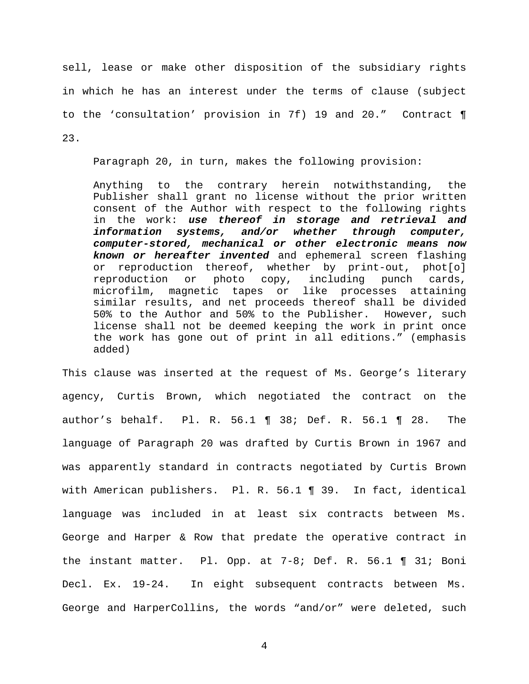sell, lease or make other disposition of the subsidiary rights in which he has an interest under the terms of clause (subject to the 'consultation' provision in 7f) 19 and 20." Contract ¶ 23.

Paragraph 20, in turn, makes the following provision:

Anything to the contrary herein notwithstanding, the Publisher shall grant no license without the prior written consent of the Author with respect to the following rights in the work: *use thereof in storage and retrieval and information systems, and/or whether through computer, computer-stored, mechanical or other electronic means now known or hereafter invented* and ephemeral screen flashing or reproduction thereof, whether by print-out, phot[o] reproduction or photo copy, including punch cards, microfilm, magnetic tapes or like processes attaining similar results, and net proceeds thereof shall be divided 50% to the Author and 50% to the Publisher. However, such license shall not be deemed keeping the work in print once the work has gone out of print in all editions." (emphasis added)

This clause was inserted at the request of Ms. George's literary agency, Curtis Brown, which negotiated the contract on the author's behalf. Pl. R. 56.1 ¶ 38; Def. R. 56.1 ¶ 28. The language of Paragraph 20 was drafted by Curtis Brown in 1967 and was apparently standard in contracts negotiated by Curtis Brown with American publishers. Pl. R. 56.1 ¶ 39. In fact, identical language was included in at least six contracts between Ms. George and Harper & Row that predate the operative contract in the instant matter. Pl. Opp. at 7-8; Def. R. 56.1 ¶ 31; Boni Decl. Ex. 19-24. In eight subsequent contracts between Ms. George and HarperCollins, the words "and/or" were deleted, such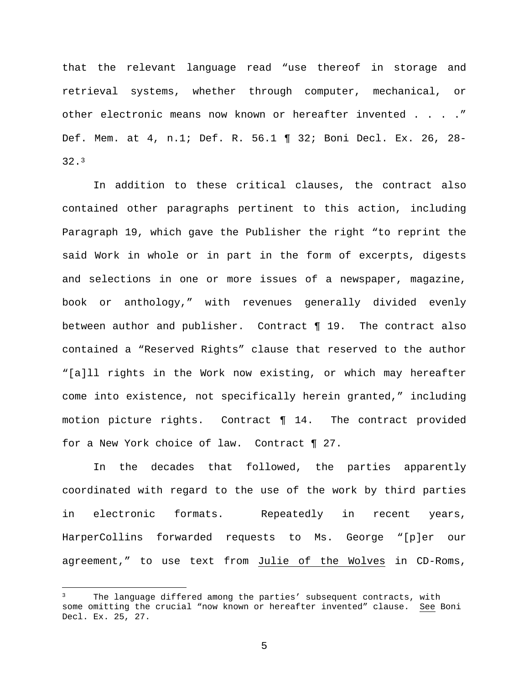that the relevant language read "use thereof in storage and retrieval systems, whether through computer, mechanical, or other electronic means now known or hereafter invented . . . . " Def. Mem. at 4, n.1; Def. R. 56.1 ¶ 32; Boni Decl. Ex. 26, 28- 32.3

In addition to these critical clauses, the contract also contained other paragraphs pertinent to this action, including Paragraph 19, which gave the Publisher the right "to reprint the said Work in whole or in part in the form of excerpts, digests and selections in one or more issues of a newspaper, magazine, book or anthology," with revenues generally divided evenly between author and publisher. Contract ¶ 19. The contract also contained a "Reserved Rights" clause that reserved to the author "[a]ll rights in the Work now existing, or which may hereafter come into existence, not specifically herein granted," including motion picture rights. Contract ¶ 14. The contract provided for a New York choice of law. Contract ¶ 27.

In the decades that followed, the parties apparently coordinated with regard to the use of the work by third parties in electronic formats. Repeatedly in recent years, HarperCollins forwarded requests to Ms. George "[p]er our agreement," to use text from Julie of the Wolves in CD-Roms,

 $\overline{a}$ 

The language differed among the parties' subsequent contracts, with some omitting the crucial "now known or hereafter invented" clause. See Boni Decl. Ex. 25, 27.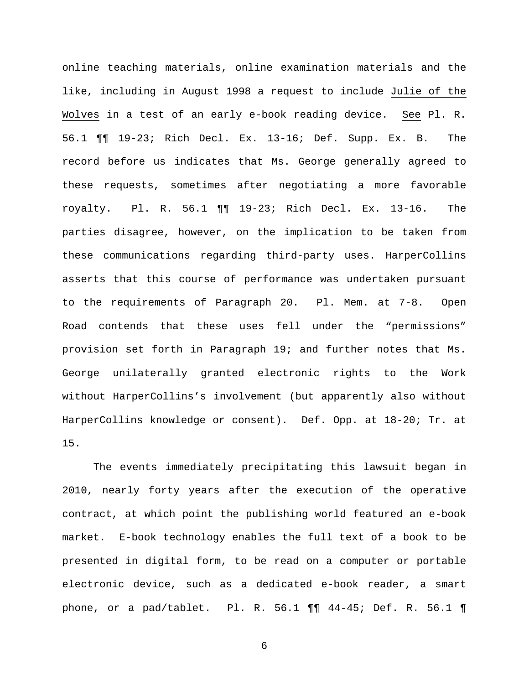online teaching materials, online examination materials and the like, including in August 1998 a request to include Julie of the Wolves in a test of an early e-book reading device. See Pl. R. 56.1 ¶¶ 19-23; Rich Decl. Ex. 13-16; Def. Supp. Ex. B. The record before us indicates that Ms. George generally agreed to these requests, sometimes after negotiating a more favorable royalty. Pl. R. 56.1 ¶¶ 19-23; Rich Decl. Ex. 13-16. The parties disagree, however, on the implication to be taken from these communications regarding third-party uses. HarperCollins asserts that this course of performance was undertaken pursuant to the requirements of Paragraph 20. Pl. Mem. at 7-8. Open Road contends that these uses fell under the "permissions" provision set forth in Paragraph 19; and further notes that Ms. George unilaterally granted electronic rights to the Work without HarperCollins's involvement (but apparently also without HarperCollins knowledge or consent). Def. Opp. at 18-20; Tr. at 15.

The events immediately precipitating this lawsuit began in 2010, nearly forty years after the execution of the operative contract, at which point the publishing world featured an e-book market. E-book technology enables the full text of a book to be presented in digital form, to be read on a computer or portable electronic device, such as a dedicated e-book reader, a smart phone, or a pad/tablet. Pl. R. 56.1 ¶¶ 44-45; Def. R. 56.1 ¶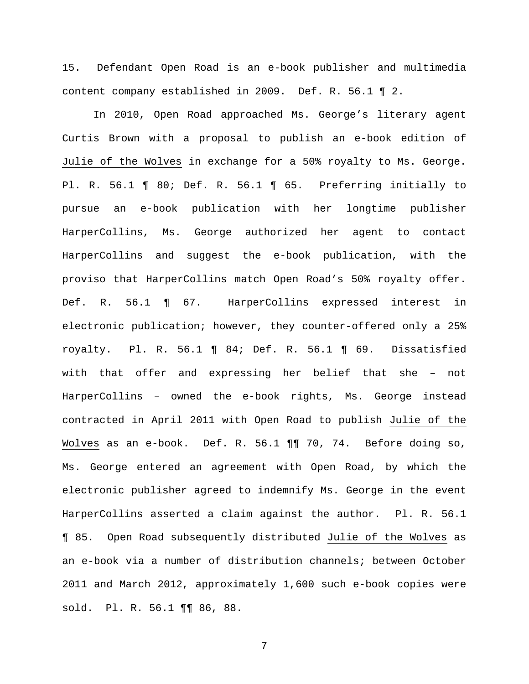15. Defendant Open Road is an e-book publisher and multimedia content company established in 2009. Def. R. 56.1 ¶ 2.

In 2010, Open Road approached Ms. George's literary agent Curtis Brown with a proposal to publish an e-book edition of Julie of the Wolves in exchange for a 50% royalty to Ms. George. Pl. R. 56.1 ¶ 80; Def. R. 56.1 ¶ 65. Preferring initially to pursue an e-book publication with her longtime publisher HarperCollins, Ms. George authorized her agent to contact HarperCollins and suggest the e-book publication, with the proviso that HarperCollins match Open Road's 50% royalty offer. Def. R. 56.1 ¶ 67. HarperCollins expressed interest in electronic publication; however, they counter-offered only a 25% royalty. Pl. R. 56.1 ¶ 84; Def. R. 56.1 ¶ 69. Dissatisfied with that offer and expressing her belief that she – not HarperCollins – owned the e-book rights, Ms. George instead contracted in April 2011 with Open Road to publish Julie of the Wolves as an e-book. Def. R. 56.1 ¶¶ 70, 74. Before doing so, Ms. George entered an agreement with Open Road, by which the electronic publisher agreed to indemnify Ms. George in the event HarperCollins asserted a claim against the author. Pl. R. 56.1 ¶ 85. Open Road subsequently distributed Julie of the Wolves as an e-book via a number of distribution channels; between October 2011 and March 2012, approximately 1,600 such e-book copies were sold. Pl. R. 56.1 ¶¶ 86, 88.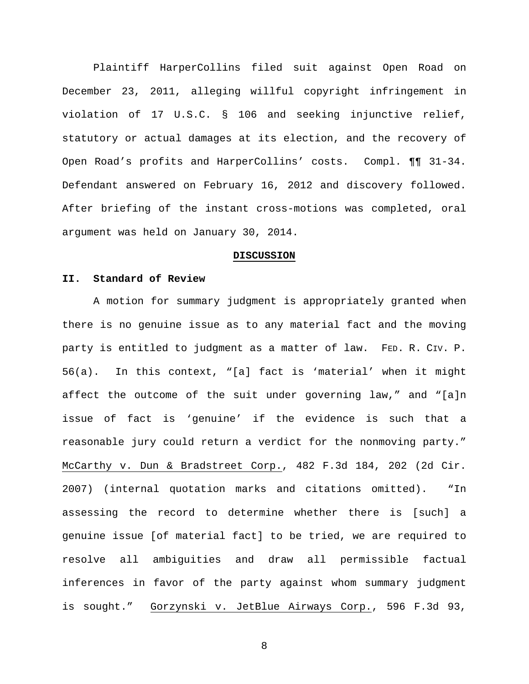Plaintiff HarperCollins filed suit against Open Road on December 23, 2011, alleging willful copyright infringement in violation of 17 U.S.C. § 106 and seeking injunctive relief, statutory or actual damages at its election, and the recovery of Open Road's profits and HarperCollins' costs. Compl. ¶¶ 31-34. Defendant answered on February 16, 2012 and discovery followed. After briefing of the instant cross-motions was completed, oral argument was held on January 30, 2014.

## **DISCUSSION**

#### **II. Standard of Review**

A motion for summary judgment is appropriately granted when there is no genuine issue as to any material fact and the moving party is entitled to judgment as a matter of law. FED. R. CIV. P. 56(a). In this context, "[a] fact is 'material' when it might affect the outcome of the suit under governing law," and "[a]n issue of fact is 'genuine' if the evidence is such that a reasonable jury could return a verdict for the nonmoving party." McCarthy v. Dun & Bradstreet Corp., 482 F.3d 184, 202 (2d Cir. 2007) (internal quotation marks and citations omitted). "In assessing the record to determine whether there is [such] a genuine issue [of material fact] to be tried, we are required to resolve all ambiguities and draw all permissible factual inferences in favor of the party against whom summary judgment is sought." Gorzynski v. JetBlue Airways Corp., 596 F.3d 93,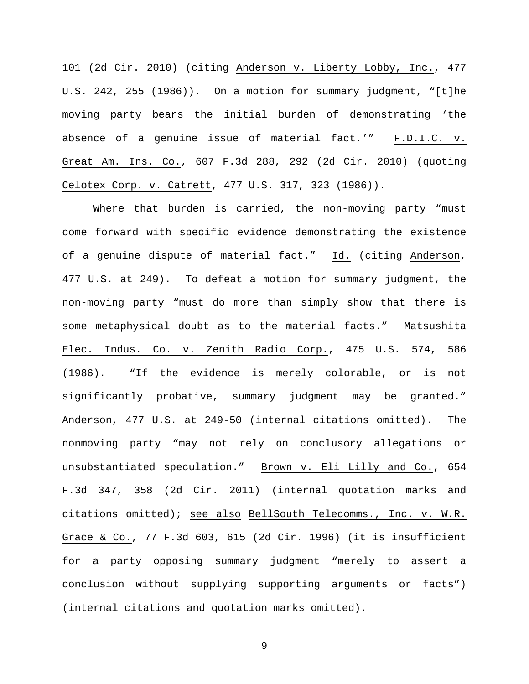101 (2d Cir. 2010) (citing Anderson v. Liberty Lobby, Inc., 477 U.S. 242, 255 (1986)). On a motion for summary judgment, "[t]he moving party bears the initial burden of demonstrating 'the absence of a genuine issue of material fact.'" F.D.I.C. v. Great Am. Ins. Co., 607 F.3d 288, 292 (2d Cir. 2010) (quoting Celotex Corp. v. Catrett, 477 U.S. 317, 323 (1986)).

Where that burden is carried, the non-moving party "must come forward with specific evidence demonstrating the existence of a genuine dispute of material fact." Id. (citing Anderson, 477 U.S. at 249). To defeat a motion for summary judgment, the non-moving party "must do more than simply show that there is some metaphysical doubt as to the material facts." Matsushita Elec. Indus. Co. v. Zenith Radio Corp., 475 U.S. 574, 586 (1986). "If the evidence is merely colorable, or is not significantly probative, summary judgment may be granted." Anderson, 477 U.S. at 249-50 (internal citations omitted). The nonmoving party "may not rely on conclusory allegations or unsubstantiated speculation." Brown v. Eli Lilly and Co., 654 F.3d 347, 358 (2d Cir. 2011) (internal quotation marks and citations omitted); see also BellSouth Telecomms., Inc. v. W.R. Grace & Co., 77 F.3d 603, 615 (2d Cir. 1996) (it is insufficient for a party opposing summary judgment "merely to assert a conclusion without supplying supporting arguments or facts") (internal citations and quotation marks omitted).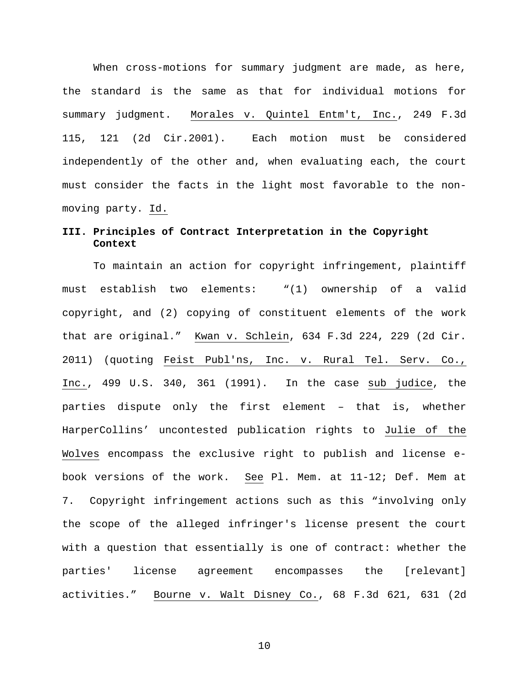When cross-motions for summary judgment are made, as here, the standard is the same as that for individual motions for summary judgment. Morales v. Quintel Entm't, Inc., 249 F.3d 115, 121 (2d Cir.2001). Each motion must be considered independently of the other and, when evaluating each, the court must consider the facts in the light most favorable to the nonmoving party. Id.

## **III. Principles of Contract Interpretation in the Copyright Context**

To maintain an action for copyright infringement, plaintiff must establish two elements: "(1) ownership of a valid copyright, and (2) copying of constituent elements of the work that are original." Kwan v. Schlein, 634 F.3d 224, 229 (2d Cir. 2011) (quoting Feist Publ'ns, Inc. v. Rural Tel. Serv. Co., Inc., 499 U.S. 340, 361 (1991). In the case sub judice, the parties dispute only the first element – that is, whether HarperCollins' uncontested publication rights to Julie of the Wolves encompass the exclusive right to publish and license ebook versions of the work. See Pl. Mem. at 11-12; Def. Mem at 7. Copyright infringement actions such as this "involving only the scope of the alleged infringer's license present the court with a question that essentially is one of contract: whether the parties' license agreement encompasses the [relevant] activities." Bourne v. Walt Disney Co., 68 F.3d 621, 631 (2d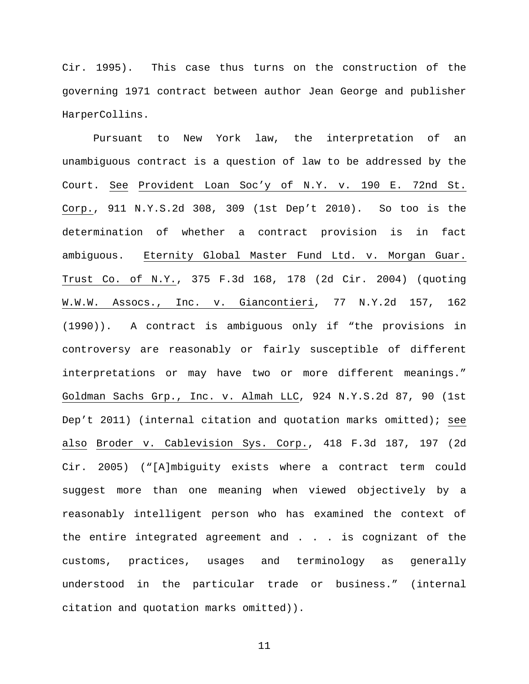Cir. 1995). This case thus turns on the construction of the governing 1971 contract between author Jean George and publisher HarperCollins.

Pursuant to New York law, the interpretation of an unambiguous contract is a question of law to be addressed by the Court. See Provident Loan Soc'y of N.Y. v. 190 E. 72nd St. Corp., 911 N.Y.S.2d 308, 309 (1st Dep't 2010). So too is the determination of whether a contract provision is in fact ambiguous. Eternity Global Master Fund Ltd. v. Morgan Guar. Trust Co. of N.Y., 375 F.3d 168, 178 (2d Cir. 2004) (quoting W.W.W. Assocs., Inc. v. Giancontieri, 77 N.Y.2d 157, 162 (1990)). A contract is ambiguous only if "the provisions in controversy are reasonably or fairly susceptible of different interpretations or may have two or more different meanings." Goldman Sachs Grp., Inc. v. Almah LLC, 924 N.Y.S.2d 87, 90 (1st Dep't 2011) (internal citation and quotation marks omitted); see also Broder v. Cablevision Sys. Corp., 418 F.3d 187, 197 (2d Cir. 2005) ("[A]mbiguity exists where a contract term could suggest more than one meaning when viewed objectively by a reasonably intelligent person who has examined the context of the entire integrated agreement and . . . is cognizant of the customs, practices, usages and terminology as generally understood in the particular trade or business." (internal citation and quotation marks omitted)).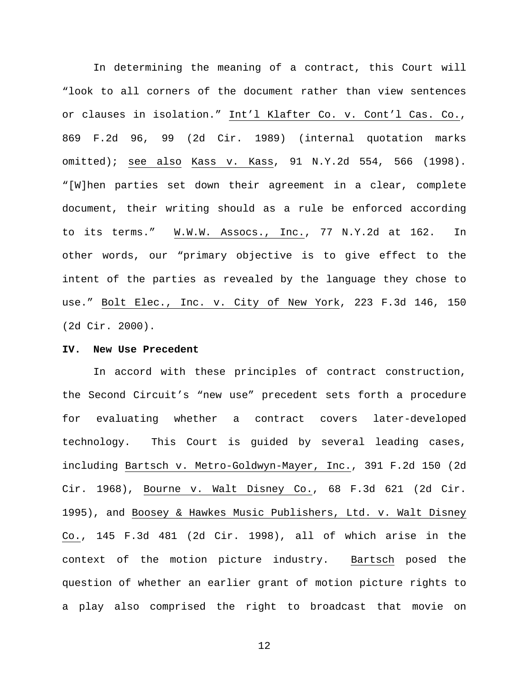In determining the meaning of a contract, this Court will "look to all corners of the document rather than view sentences or clauses in isolation." Int'l Klafter Co. v. Cont'l Cas. Co., 869 F.2d 96, 99 (2d Cir. 1989) (internal quotation marks omitted); see also Kass v. Kass, 91 N.Y.2d 554, 566 (1998). "[W]hen parties set down their agreement in a clear, complete document, their writing should as a rule be enforced according to its terms." W.W.W. Assocs., Inc., 77 N.Y.2d at 162. In other words, our "primary objective is to give effect to the intent of the parties as revealed by the language they chose to use." Bolt Elec., Inc. v. City of New York, 223 F.3d 146, 150 (2d Cir. 2000).

#### **IV. New Use Precedent**

In accord with these principles of contract construction, the Second Circuit's "new use" precedent sets forth a procedure for evaluating whether a contract covers later-developed technology. This Court is guided by several leading cases, including Bartsch v. Metro-Goldwyn-Mayer, Inc., 391 F.2d 150 (2d Cir. 1968), Bourne v. Walt Disney Co., 68 F.3d 621 (2d Cir. 1995), and Boosey & Hawkes Music Publishers, Ltd. v. Walt Disney Co., 145 F.3d 481 (2d Cir. 1998), all of which arise in the context of the motion picture industry. Bartsch posed the question of whether an earlier grant of motion picture rights to a play also comprised the right to broadcast that movie on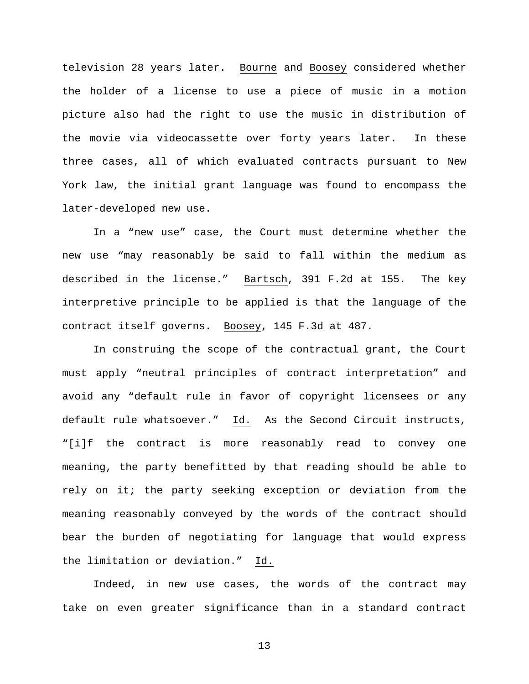television 28 years later. Bourne and Boosey considered whether the holder of a license to use a piece of music in a motion picture also had the right to use the music in distribution of the movie via videocassette over forty years later. In these three cases, all of which evaluated contracts pursuant to New York law, the initial grant language was found to encompass the later-developed new use.

In a "new use" case, the Court must determine whether the new use "may reasonably be said to fall within the medium as described in the license." Bartsch, 391 F.2d at 155. The key interpretive principle to be applied is that the language of the contract itself governs. Boosey, 145 F.3d at 487.

In construing the scope of the contractual grant, the Court must apply "neutral principles of contract interpretation" and avoid any "default rule in favor of copyright licensees or any default rule whatsoever." Id. As the Second Circuit instructs, "[i]f the contract is more reasonably read to convey one meaning, the party benefitted by that reading should be able to rely on it; the party seeking exception or deviation from the meaning reasonably conveyed by the words of the contract should bear the burden of negotiating for language that would express the limitation or deviation." Id.

Indeed, in new use cases, the words of the contract may take on even greater significance than in a standard contract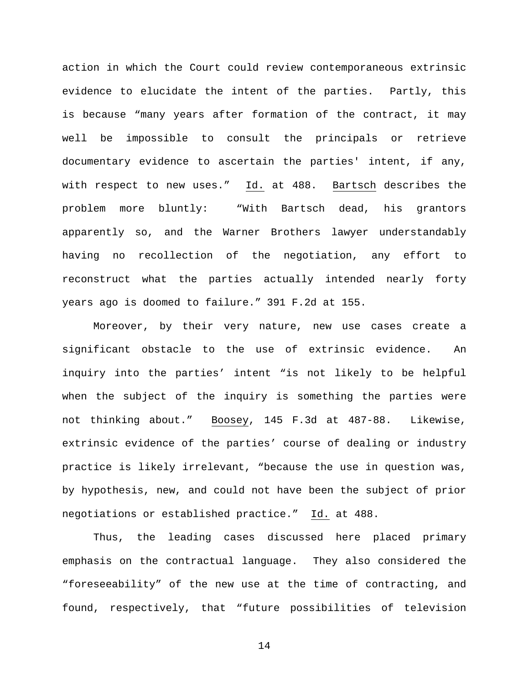action in which the Court could review contemporaneous extrinsic evidence to elucidate the intent of the parties. Partly, this is because "many years after formation of the contract, it may well be impossible to consult the principals or retrieve documentary evidence to ascertain the parties' intent, if any, with respect to new uses." Id. at 488. Bartsch describes the problem more bluntly: "With Bartsch dead, his grantors apparently so, and the Warner Brothers lawyer understandably having no recollection of the negotiation, any effort to reconstruct what the parties actually intended nearly forty years ago is doomed to failure." 391 F.2d at 155.

Moreover, by their very nature, new use cases create a significant obstacle to the use of extrinsic evidence. An inquiry into the parties' intent "is not likely to be helpful when the subject of the inquiry is something the parties were not thinking about." Boosey, 145 F.3d at 487-88. Likewise, extrinsic evidence of the parties' course of dealing or industry practice is likely irrelevant, "because the use in question was, by hypothesis, new, and could not have been the subject of prior negotiations or established practice." Id. at 488.

Thus, the leading cases discussed here placed primary emphasis on the contractual language. They also considered the "foreseeability" of the new use at the time of contracting, and found, respectively, that "future possibilities of television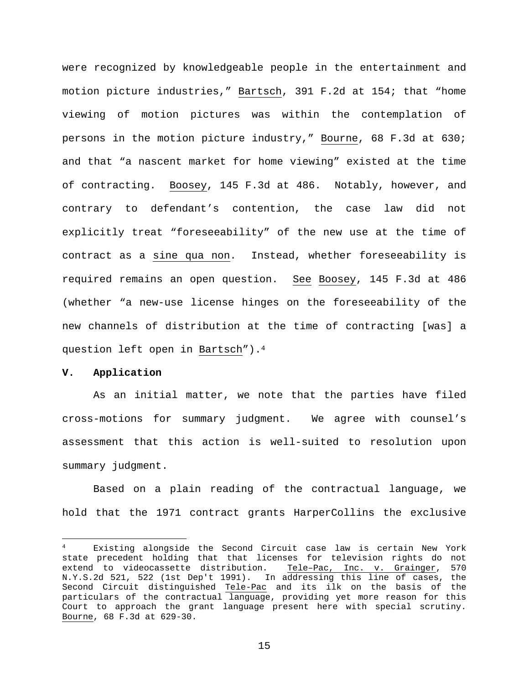were recognized by knowledgeable people in the entertainment and motion picture industries," Bartsch, 391 F.2d at 154; that "home viewing of motion pictures was within the contemplation of persons in the motion picture industry," Bourne, 68 F.3d at 630; and that "a nascent market for home viewing" existed at the time of contracting. Boosey, 145 F.3d at 486. Notably, however, and contrary to defendant's contention, the case law did not explicitly treat "foreseeability" of the new use at the time of contract as a sine qua non. Instead, whether foreseeability is required remains an open question. See Boosey, 145 F.3d at 486 (whether "a new-use license hinges on the foreseeability of the new channels of distribution at the time of contracting [was] a question left open in Bartsch").4

## **V. Application**

 $\overline{a}$ 

As an initial matter, we note that the parties have filed cross-motions for summary judgment. We agree with counsel's assessment that this action is well-suited to resolution upon summary judgment.

Based on a plain reading of the contractual language, we hold that the 1971 contract grants HarperCollins the exclusive

<sup>4</sup> Existing alongside the Second Circuit case law is certain New York state precedent holding that that licenses for television rights do not extend to videocassette distribution. Tele–Pac, Inc. v. Grainger, 570 N.Y.S.2d 521, 522 (1st Dep't 1991). In addressing this line of cases, the Second Circuit distinguished Tele-Pac and its ilk on the basis of the particulars of the contractual language, providing yet more reason for this Court to approach the grant language present here with special scrutiny. Bourne, 68 F.3d at 629-30.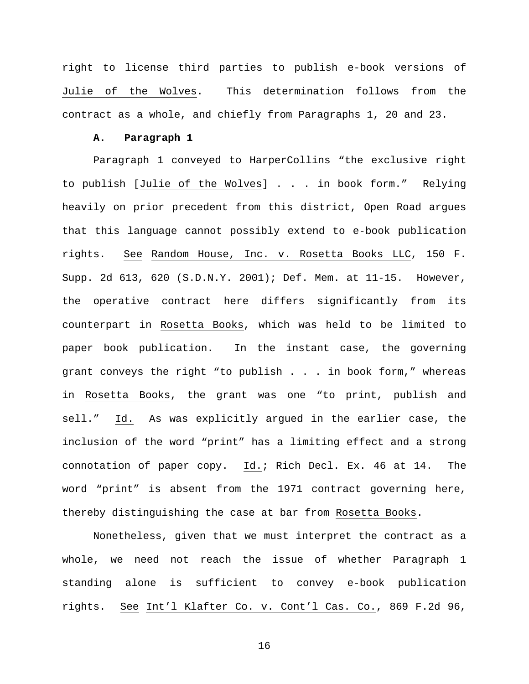right to license third parties to publish e-book versions of Julie of the Wolves. This determination follows from the contract as a whole, and chiefly from Paragraphs 1, 20 and 23.

## **A. Paragraph 1**

Paragraph 1 conveyed to HarperCollins "the exclusive right to publish [Julie of the Wolves] . . . in book form." Relying heavily on prior precedent from this district, Open Road argues that this language cannot possibly extend to e-book publication rights. See Random House, Inc. v. Rosetta Books LLC, 150 F. Supp. 2d 613, 620 (S.D.N.Y. 2001); Def. Mem. at 11-15. However, the operative contract here differs significantly from its counterpart in Rosetta Books, which was held to be limited to paper book publication. In the instant case, the governing grant conveys the right "to publish . . . in book form," whereas in Rosetta Books, the grant was one "to print, publish and sell." Id. As was explicitly argued in the earlier case, the inclusion of the word "print" has a limiting effect and a strong connotation of paper copy. Id.; Rich Decl. Ex. 46 at 14. The word "print" is absent from the 1971 contract governing here, thereby distinguishing the case at bar from Rosetta Books.

Nonetheless, given that we must interpret the contract as a whole, we need not reach the issue of whether Paragraph 1 standing alone is sufficient to convey e-book publication rights. See Int'l Klafter Co. v. Cont'l Cas. Co., 869 F.2d 96,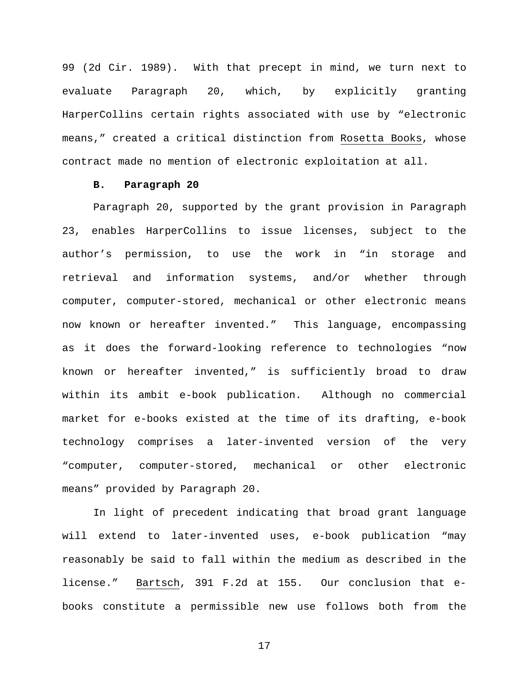99 (2d Cir. 1989). With that precept in mind, we turn next to evaluate Paragraph 20, which, by explicitly granting HarperCollins certain rights associated with use by "electronic means," created a critical distinction from Rosetta Books, whose contract made no mention of electronic exploitation at all.

## **B. Paragraph 20**

Paragraph 20, supported by the grant provision in Paragraph 23, enables HarperCollins to issue licenses, subject to the author's permission, to use the work in "in storage and retrieval and information systems, and/or whether through computer, computer-stored, mechanical or other electronic means now known or hereafter invented." This language, encompassing as it does the forward-looking reference to technologies "now known or hereafter invented," is sufficiently broad to draw within its ambit e-book publication. Although no commercial market for e-books existed at the time of its drafting, e-book technology comprises a later-invented version of the very "computer, computer-stored, mechanical or other electronic means" provided by Paragraph 20.

In light of precedent indicating that broad grant language will extend to later-invented uses, e-book publication "may reasonably be said to fall within the medium as described in the license." Bartsch, 391 F.2d at 155. Our conclusion that ebooks constitute a permissible new use follows both from the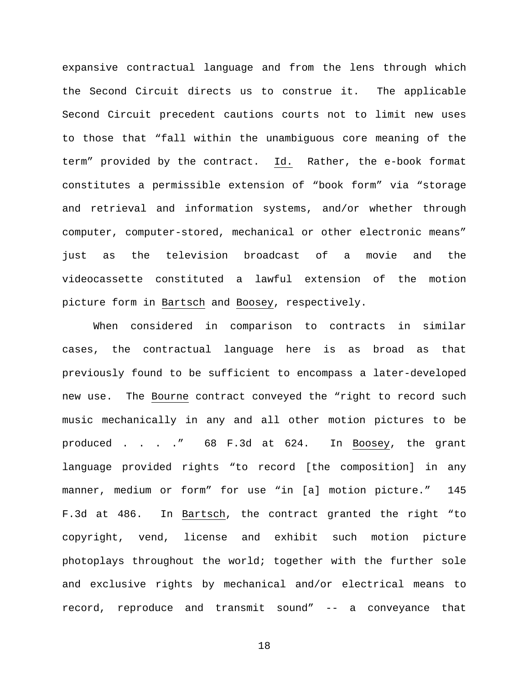expansive contractual language and from the lens through which the Second Circuit directs us to construe it. The applicable Second Circuit precedent cautions courts not to limit new uses to those that "fall within the unambiguous core meaning of the term" provided by the contract. Id. Rather, the e-book format constitutes a permissible extension of "book form" via "storage and retrieval and information systems, and/or whether through computer, computer-stored, mechanical or other electronic means" just as the television broadcast of a movie and the videocassette constituted a lawful extension of the motion picture form in Bartsch and Boosey, respectively.

When considered in comparison to contracts in similar cases, the contractual language here is as broad as that previously found to be sufficient to encompass a later-developed new use. The Bourne contract conveyed the "right to record such music mechanically in any and all other motion pictures to be produced . . . ." 68 F.3d at 624. In Boosey, the grant language provided rights "to record [the composition] in any manner, medium or form" for use "in [a] motion picture." 145 F.3d at 486. In Bartsch, the contract granted the right "to copyright, vend, license and exhibit such motion picture photoplays throughout the world; together with the further sole and exclusive rights by mechanical and/or electrical means to record, reproduce and transmit sound" -- a conveyance that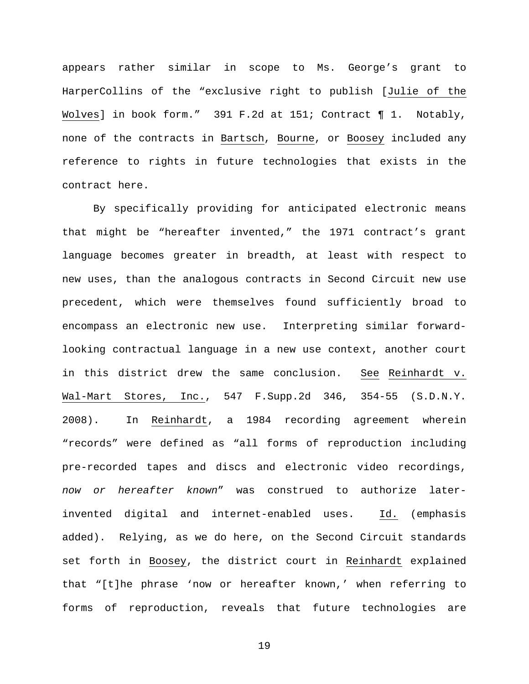appears rather similar in scope to Ms. George's grant to HarperCollins of the "exclusive right to publish [Julie of the Wolves] in book form." 391 F.2d at 151; Contract 11. Notably, none of the contracts in Bartsch, Bourne, or Boosey included any reference to rights in future technologies that exists in the contract here.

By specifically providing for anticipated electronic means that might be "hereafter invented," the 1971 contract's grant language becomes greater in breadth, at least with respect to new uses, than the analogous contracts in Second Circuit new use precedent, which were themselves found sufficiently broad to encompass an electronic new use. Interpreting similar forwardlooking contractual language in a new use context, another court in this district drew the same conclusion. See Reinhardt v. Wal-Mart Stores, Inc., 547 F.Supp.2d 346, 354-55 (S.D.N.Y. 2008). In Reinhardt, a 1984 recording agreement wherein "records" were defined as "all forms of reproduction including pre-recorded tapes and discs and electronic video recordings, *now or hereafter known*" was construed to authorize laterinvented digital and internet-enabled uses. Id. (emphasis added). Relying, as we do here, on the Second Circuit standards set forth in Boosey, the district court in Reinhardt explained that "[t]he phrase 'now or hereafter known,' when referring to forms of reproduction, reveals that future technologies are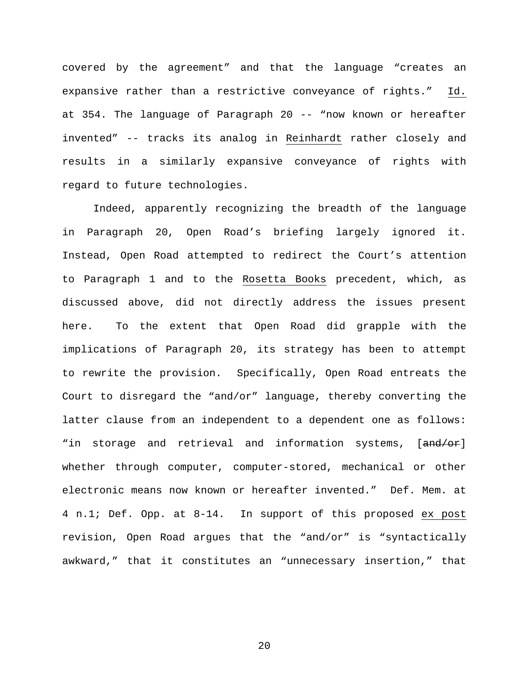covered by the agreement" and that the language "creates an expansive rather than a restrictive conveyance of rights." Id. at 354. The language of Paragraph 20 -- "now known or hereafter invented" -- tracks its analog in Reinhardt rather closely and results in a similarly expansive conveyance of rights with regard to future technologies.

Indeed, apparently recognizing the breadth of the language in Paragraph 20, Open Road's briefing largely ignored it. Instead, Open Road attempted to redirect the Court's attention to Paragraph 1 and to the Rosetta Books precedent, which, as discussed above, did not directly address the issues present here. To the extent that Open Road did grapple with the implications of Paragraph 20, its strategy has been to attempt to rewrite the provision. Specifically, Open Road entreats the Court to disregard the "and/or" language, thereby converting the latter clause from an independent to a dependent one as follows: "in storage and retrieval and information systems, [and/or] whether through computer, computer-stored, mechanical or other electronic means now known or hereafter invented." Def. Mem. at 4 n.1; Def. Opp. at 8-14. In support of this proposed ex post revision, Open Road argues that the "and/or" is "syntactically awkward," that it constitutes an "unnecessary insertion," that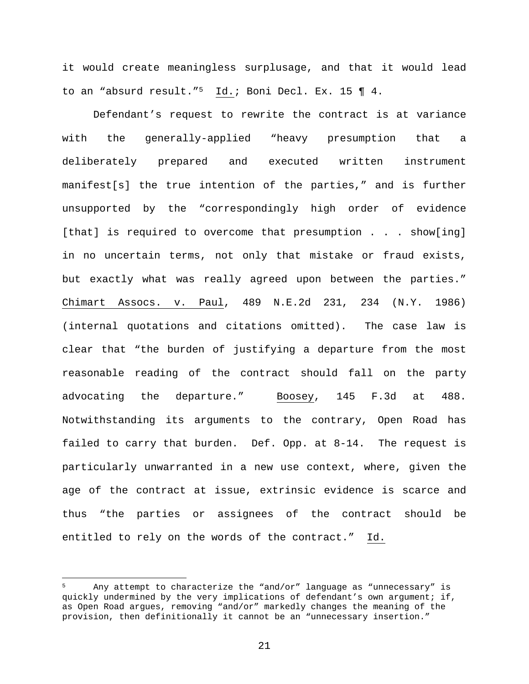it would create meaningless surplusage, and that it would lead to an "absurd result."5 Id.; Boni Decl. Ex. 15 ¶ 4.

Defendant's request to rewrite the contract is at variance with the generally-applied "heavy presumption that a deliberately prepared and executed written instrument manifest[s] the true intention of the parties," and is further unsupported by the "correspondingly high order of evidence [that] is required to overcome that presumption . . . show[ing] in no uncertain terms, not only that mistake or fraud exists, but exactly what was really agreed upon between the parties." Chimart Assocs. v. Paul, 489 N.E.2d 231, 234 (N.Y. 1986) (internal quotations and citations omitted). The case law is clear that "the burden of justifying a departure from the most reasonable reading of the contract should fall on the party advocating the departure." Boosey, 145 F.3d at 488. Notwithstanding its arguments to the contrary, Open Road has failed to carry that burden. Def. Opp. at 8-14. The request is particularly unwarranted in a new use context, where, given the age of the contract at issue, extrinsic evidence is scarce and thus "the parties or assignees of the contract should be entitled to rely on the words of the contract." Id.

 $\overline{a}$ 

Any attempt to characterize the "and/or" language as "unnecessary" is quickly undermined by the very implications of defendant's own argument; if, as Open Road argues, removing "and/or" markedly changes the meaning of the provision, then definitionally it cannot be an "unnecessary insertion."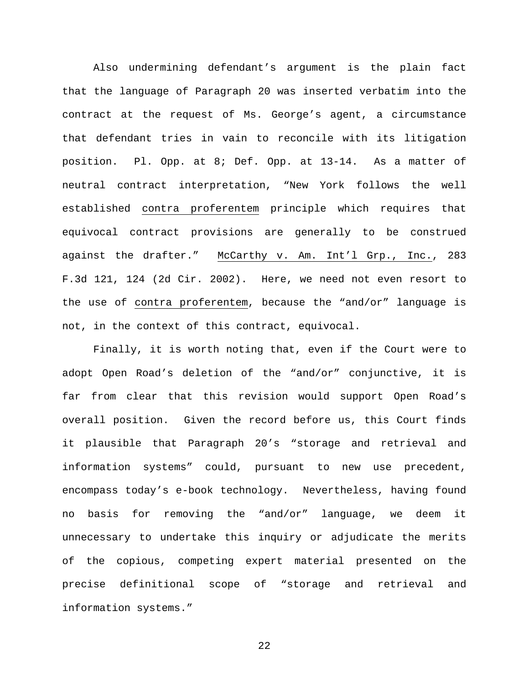Also undermining defendant's argument is the plain fact that the language of Paragraph 20 was inserted verbatim into the contract at the request of Ms. George's agent, a circumstance that defendant tries in vain to reconcile with its litigation position. Pl. Opp. at 8; Def. Opp. at 13-14. As a matter of neutral contract interpretation, "New York follows the well established contra proferentem principle which requires that equivocal contract provisions are generally to be construed against the drafter." McCarthy v. Am. Int'l Grp., Inc., 283 F.3d 121, 124 (2d Cir. 2002). Here, we need not even resort to the use of contra proferentem, because the "and/or" language is not, in the context of this contract, equivocal.

Finally, it is worth noting that, even if the Court were to adopt Open Road's deletion of the "and/or" conjunctive, it is far from clear that this revision would support Open Road's overall position. Given the record before us, this Court finds it plausible that Paragraph 20's "storage and retrieval and information systems" could, pursuant to new use precedent, encompass today's e-book technology. Nevertheless, having found no basis for removing the "and/or" language, we deem it unnecessary to undertake this inquiry or adjudicate the merits of the copious, competing expert material presented on the precise definitional scope of "storage and retrieval and information systems."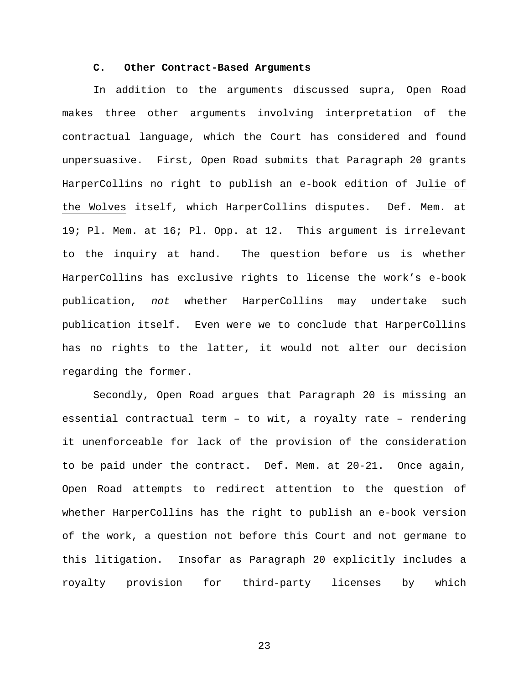## **C. Other Contract-Based Arguments**

In addition to the arguments discussed supra, Open Road makes three other arguments involving interpretation of the contractual language, which the Court has considered and found unpersuasive. First, Open Road submits that Paragraph 20 grants HarperCollins no right to publish an e-book edition of Julie of the Wolves itself, which HarperCollins disputes. Def. Mem. at 19; Pl. Mem. at 16; Pl. Opp. at 12. This argument is irrelevant to the inquiry at hand. The question before us is whether HarperCollins has exclusive rights to license the work's e-book publication, *not* whether HarperCollins may undertake such publication itself. Even were we to conclude that HarperCollins has no rights to the latter, it would not alter our decision regarding the former.

Secondly, Open Road argues that Paragraph 20 is missing an essential contractual term – to wit, a royalty rate – rendering it unenforceable for lack of the provision of the consideration to be paid under the contract. Def. Mem. at 20-21. Once again, Open Road attempts to redirect attention to the question of whether HarperCollins has the right to publish an e-book version of the work, a question not before this Court and not germane to this litigation. Insofar as Paragraph 20 explicitly includes a royalty provision for third-party licenses by which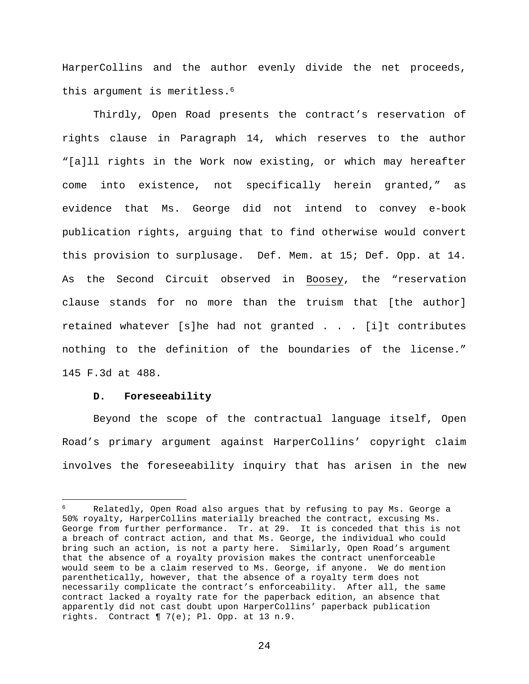HarperCollins and the author evenly divide the net proceeds, this argument is meritless.<sup>6</sup>

Thirdly, Open Road presents the contract's reservation of rights clause in Paragraph 14, which reserves to the author "[a]ll rights in the Work now existing, or which may hereafter come into existence, not specifically herein granted," as evidence that Ms. George did not intend to convey e-book publication rights, arguing that to find otherwise would convert this provision to surplusage. Def. Mem. at 15; Def. Opp. at 14. As the Second Circuit observed in Boosey, the "reservation clause stands for no more than the truism that [the author] retained whatever [s]he had not granted . . . [i]t contributes nothing to the definition of the boundaries of the license." 145 F.3d at 488.

### **D. Foreseeability**

 $\overline{a}$ 

Beyond the scope of the contractual language itself, Open Road's primary argument against HarperCollins' copyright claim involves the foreseeability inquiry that has arisen in the new

Relatedly, Open Road also argues that by refusing to pay Ms. George a 50% royalty, HarperCollins materially breached the contract, excusing Ms. George from further performance. Tr. at 29. It is conceded that this is not a breach of contract action, and that Ms. George, the individual who could bring such an action, is not a party here. Similarly, Open Road's argument that the absence of a royalty provision makes the contract unenforceable would seem to be a claim reserved to Ms. George, if anyone. We do mention parenthetically, however, that the absence of a royalty term does not necessarily complicate the contract's enforceability. After all, the same contract lacked a royalty rate for the paperback edition, an absence that apparently did not cast doubt upon HarperCollins' paperback publication rights. Contract ¶ 7(e); Pl. Opp. at 13 n.9.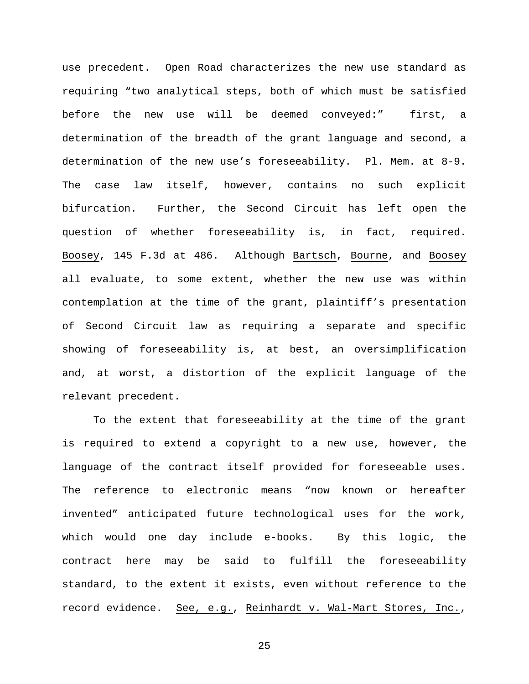use precedent. Open Road characterizes the new use standard as requiring "two analytical steps, both of which must be satisfied before the new use will be deemed conveyed:" first, a determination of the breadth of the grant language and second, a determination of the new use's foreseeability. Pl. Mem. at 8-9. The case law itself, however, contains no such explicit bifurcation. Further, the Second Circuit has left open the question of whether foreseeability is, in fact, required. Boosey, 145 F.3d at 486. Although Bartsch, Bourne, and Boosey all evaluate, to some extent, whether the new use was within contemplation at the time of the grant, plaintiff's presentation of Second Circuit law as requiring a separate and specific showing of foreseeability is, at best, an oversimplification and, at worst, a distortion of the explicit language of the relevant precedent.

To the extent that foreseeability at the time of the grant is required to extend a copyright to a new use, however, the language of the contract itself provided for foreseeable uses. The reference to electronic means "now known or hereafter invented" anticipated future technological uses for the work, which would one day include e-books. By this logic, the contract here may be said to fulfill the foreseeability standard, to the extent it exists, even without reference to the record evidence. See, e.g., Reinhardt v. Wal-Mart Stores, Inc.,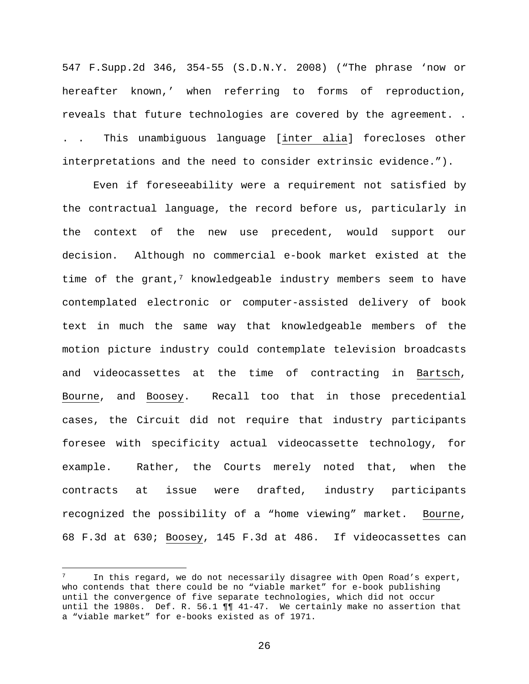547 F.Supp.2d 346, 354-55 (S.D.N.Y. 2008) ("The phrase 'now or hereafter known,' when referring to forms of reproduction, reveals that future technologies are covered by the agreement. . . . This unambiguous language [inter alia] forecloses other interpretations and the need to consider extrinsic evidence.").

Even if foreseeability were a requirement not satisfied by the contractual language, the record before us, particularly in the context of the new use precedent, would support our decision. Although no commercial e-book market existed at the time of the grant, $7$  knowledgeable industry members seem to have contemplated electronic or computer-assisted delivery of book text in much the same way that knowledgeable members of the motion picture industry could contemplate television broadcasts and videocassettes at the time of contracting in Bartsch, Bourne, and Boosey. Recall too that in those precedential cases, the Circuit did not require that industry participants foresee with specificity actual videocassette technology, for example. Rather, the Courts merely noted that, when the contracts at issue were drafted, industry participants recognized the possibility of a "home viewing" market. Bourne, 68 F.3d at 630; Boosey, 145 F.3d at 486. If videocassettes can

 $\overline{a}$ 

 $7$  In this regard, we do not necessarily disagree with Open Road's expert, who contends that there could be no "viable market" for e-book publishing until the convergence of five separate technologies, which did not occur until the 1980s. Def. R. 56.1 ¶¶ 41-47. We certainly make no assertion that a "viable market" for e-books existed as of 1971.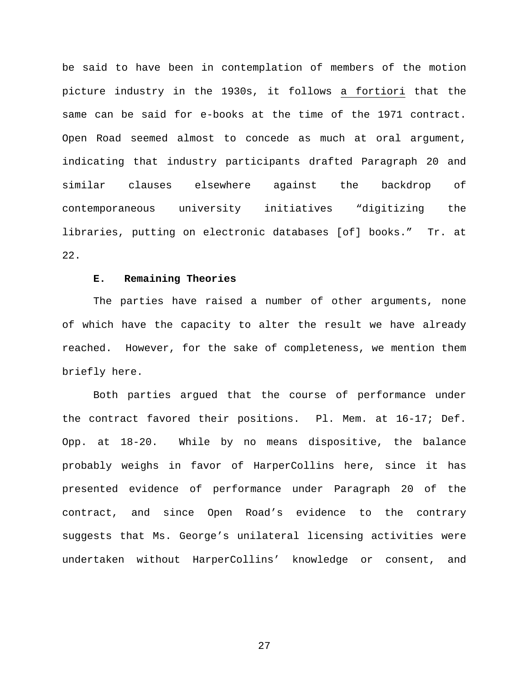be said to have been in contemplation of members of the motion picture industry in the 1930s, it follows a fortiori that the same can be said for e-books at the time of the 1971 contract. Open Road seemed almost to concede as much at oral argument, indicating that industry participants drafted Paragraph 20 and similar clauses elsewhere against the backdrop of contemporaneous university initiatives "digitizing the libraries, putting on electronic databases [of] books." Tr. at 22.

#### **E. Remaining Theories**

The parties have raised a number of other arguments, none of which have the capacity to alter the result we have already reached. However, for the sake of completeness, we mention them briefly here.

Both parties argued that the course of performance under the contract favored their positions. Pl. Mem. at 16-17; Def. Opp. at 18-20. While by no means dispositive, the balance probably weighs in favor of HarperCollins here, since it has presented evidence of performance under Paragraph 20 of the contract, and since Open Road's evidence to the contrary suggests that Ms. George's unilateral licensing activities were undertaken without HarperCollins' knowledge or consent, and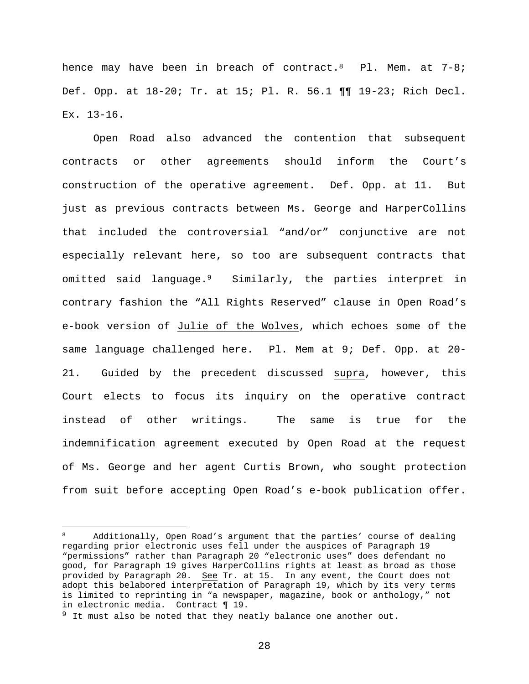hence may have been in breach of contract.<sup>8</sup> Pl. Mem. at 7-8; Def. Opp. at 18-20; Tr. at 15; Pl. R. 56.1 ¶¶ 19-23; Rich Decl.  $Ex. 13-16.$ 

Open Road also advanced the contention that subsequent contracts or other agreements should inform the Court's construction of the operative agreement. Def. Opp. at 11. But just as previous contracts between Ms. George and HarperCollins that included the controversial "and/or" conjunctive are not especially relevant here, so too are subsequent contracts that omitted said language.9 Similarly, the parties interpret in contrary fashion the "All Rights Reserved" clause in Open Road's e-book version of Julie of the Wolves, which echoes some of the same language challenged here. Pl. Mem at 9; Def. Opp. at 20- 21. Guided by the precedent discussed supra, however, this Court elects to focus its inquiry on the operative contract instead of other writings. The same is true for the indemnification agreement executed by Open Road at the request of Ms. George and her agent Curtis Brown, who sought protection from suit before accepting Open Road's e-book publication offer.

 $\overline{a}$ 

<sup>8</sup> Additionally, Open Road's argument that the parties' course of dealing regarding prior electronic uses fell under the auspices of Paragraph 19 "permissions" rather than Paragraph 20 "electronic uses" does defendant no good, for Paragraph 19 gives HarperCollins rights at least as broad as those provided by Paragraph 20. See Tr. at 15. In any event, the Court does not adopt this belabored interpretation of Paragraph 19, which by its very terms is limited to reprinting in "a newspaper, magazine, book or anthology," not in electronic media. Contract ¶ 19.

 $9$  It must also be noted that they neatly balance one another out.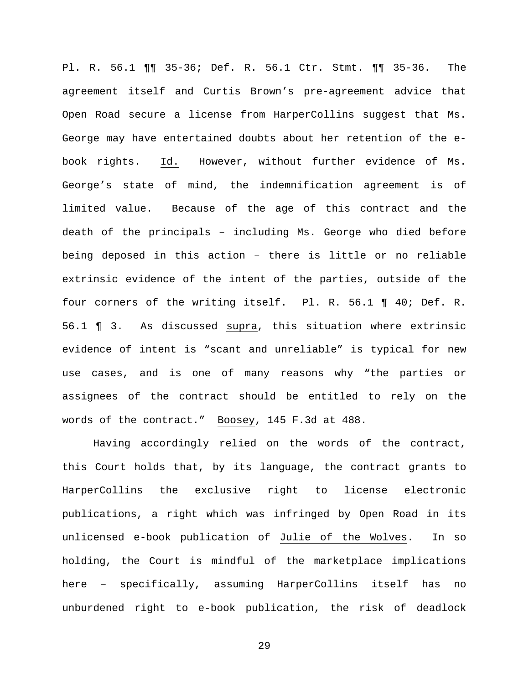Pl. R. 56.1 ¶¶ 35-36; Def. R. 56.1 Ctr. Stmt. ¶¶ 35-36. The agreement itself and Curtis Brown's pre-agreement advice that Open Road secure a license from HarperCollins suggest that Ms. George may have entertained doubts about her retention of the ebook rights. Id. However, without further evidence of Ms. George's state of mind, the indemnification agreement is of limited value. Because of the age of this contract and the death of the principals – including Ms. George who died before being deposed in this action – there is little or no reliable extrinsic evidence of the intent of the parties, outside of the four corners of the writing itself. Pl. R. 56.1 ¶ 40; Def. R. 56.1 ¶ 3. As discussed supra, this situation where extrinsic evidence of intent is "scant and unreliable" is typical for new use cases, and is one of many reasons why "the parties or assignees of the contract should be entitled to rely on the words of the contract." Boosey, 145 F.3d at 488.

Having accordingly relied on the words of the contract, this Court holds that, by its language, the contract grants to HarperCollins the exclusive right to license electronic publications, a right which was infringed by Open Road in its unlicensed e-book publication of Julie of the Wolves. In so holding, the Court is mindful of the marketplace implications here – specifically, assuming HarperCollins itself has no unburdened right to e-book publication, the risk of deadlock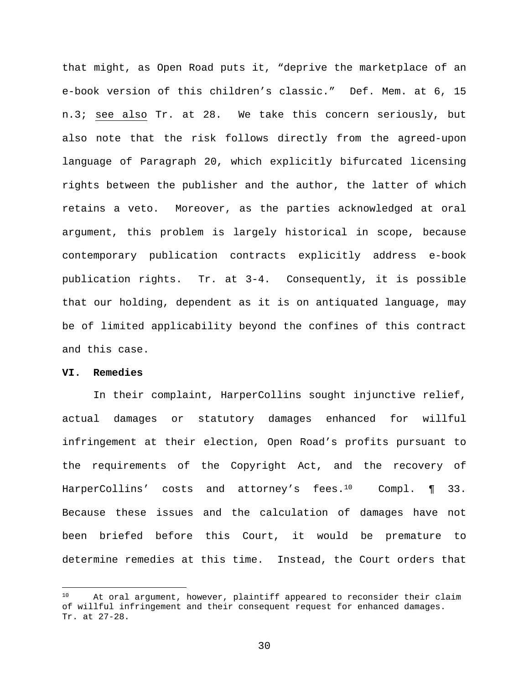that might, as Open Road puts it, "deprive the marketplace of an e-book version of this children's classic." Def. Mem. at 6, 15 n.3; see also Tr. at 28. We take this concern seriously, but also note that the risk follows directly from the agreed-upon language of Paragraph 20, which explicitly bifurcated licensing rights between the publisher and the author, the latter of which retains a veto. Moreover, as the parties acknowledged at oral argument, this problem is largely historical in scope, because contemporary publication contracts explicitly address e-book publication rights. Tr. at 3-4. Consequently, it is possible that our holding, dependent as it is on antiquated language, may be of limited applicability beyond the confines of this contract and this case.

### **VI. Remedies**

 $\overline{a}$ 

In their complaint, HarperCollins sought injunctive relief, actual damages or statutory damages enhanced for willful infringement at their election, Open Road's profits pursuant to the requirements of the Copyright Act, and the recovery of HarperCollins' costs and attorney's fees.<sup>10</sup> Compl. ¶ 33. Because these issues and the calculation of damages have not been briefed before this Court, it would be premature to determine remedies at this time. Instead, the Court orders that

<sup>&</sup>lt;sup>10</sup> At oral argument, however, plaintiff appeared to reconsider their claim of willful infringement and their consequent request for enhanced damages. Tr. at 27-28.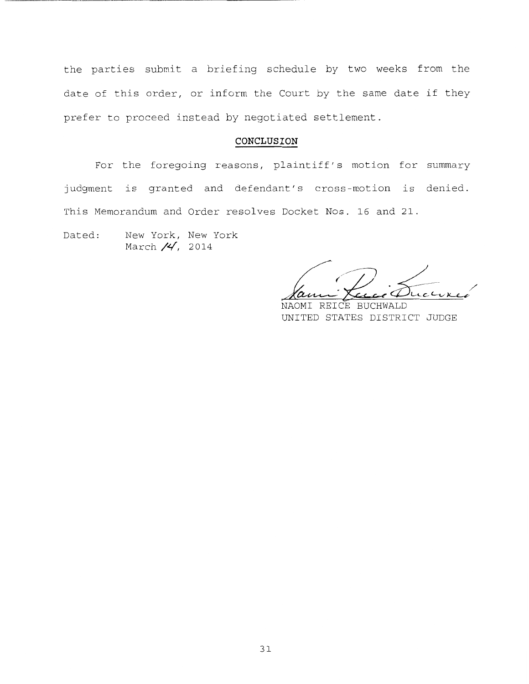the parties submit a briefing schedule by two weeks from the date of this order, or inform the Court by the same date if they prefer to proceed instead by negotiated settlement.

## **CONCLUSION**

For the foregoing reasons, plaintiff's motion for summary judgment is granted and defendant's cross-motion is denied. This Memorandum and Order resolves Docket Nos. 16 and 21.

Dated: New York, New York March  $/4$ , 2014

NAOMI REICE BUCHWALD UNITED STATES DISTRICT JUDGE